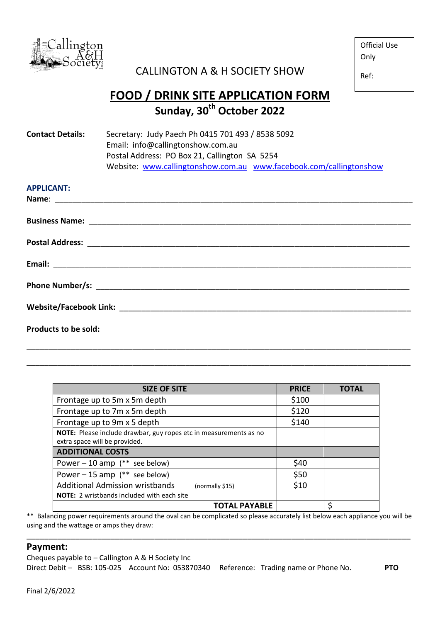

## CALLINGTON A & H SOCIETY SHOW

Official Use Only

Ref:

## **FOOD / DRINK SITE APPLICATION FORM Sunday, 30th October 2022**

| <b>Contact Details:</b>     | Secretary: Judy Paech Ph 0415 701 493 / 8538 5092<br>Email: info@callingtonshow.com.au<br>Postal Address: PO Box 21, Callington SA 5254<br>Website: www.callingtonshow.com.au www.facebook.com/callingtonshow |  |  |
|-----------------------------|---------------------------------------------------------------------------------------------------------------------------------------------------------------------------------------------------------------|--|--|
| <b>APPLICANT:</b>           |                                                                                                                                                                                                               |  |  |
|                             |                                                                                                                                                                                                               |  |  |
|                             |                                                                                                                                                                                                               |  |  |
|                             |                                                                                                                                                                                                               |  |  |
|                             |                                                                                                                                                                                                               |  |  |
|                             |                                                                                                                                                                                                               |  |  |
| <b>Products to be sold:</b> |                                                                                                                                                                                                               |  |  |

| <b>SIZE OF SITE</b>                                                                                | <b>PRICE</b> | <b>TOTAL</b> |
|----------------------------------------------------------------------------------------------------|--------------|--------------|
| Frontage up to 5m x 5m depth                                                                       | \$100        |              |
| Frontage up to 7m x 5m depth                                                                       | \$120        |              |
| Frontage up to 9m x 5 depth                                                                        | \$140        |              |
| NOTE: Please include drawbar, guy ropes etc in measurements as no<br>extra space will be provided. |              |              |
| <b>ADDITIONAL COSTS</b>                                                                            |              |              |
| Power $-10$ amp (** see below)                                                                     | \$40         |              |
| Power $-15$ amp (** see below)                                                                     | \$50         |              |
| <b>Additional Admission wristbands</b><br>(normally \$15)                                          | \$10         |              |
| <b>NOTE:</b> 2 wristbands included with each site                                                  |              |              |
| <b>TOTAL PAYABLE</b>                                                                               |              |              |

\_\_\_\_\_\_\_\_\_\_\_\_\_\_\_\_\_\_\_\_\_\_\_\_\_\_\_\_\_\_\_\_\_\_\_\_\_\_\_\_\_\_\_\_\_\_\_\_\_\_\_\_\_\_\_\_\_\_\_\_\_\_\_\_\_\_\_\_\_\_\_\_\_\_\_\_\_\_\_\_\_\_\_\_\_\_\_

\_\_\_\_\_\_\_\_\_\_\_\_\_\_\_\_\_\_\_\_\_\_\_\_\_\_\_\_\_\_\_\_\_\_\_\_\_\_\_\_\_\_\_\_\_\_\_\_\_\_\_\_\_\_\_\_\_\_\_\_\_\_\_\_\_\_\_\_\_\_\_\_\_\_\_\_\_\_\_\_\_\_\_\_\_\_\_

\*\* Balancing power requirements around the oval can be complicated so please accurately list below each appliance you will be using and the wattage or amps they draw:

\_\_\_\_\_\_\_\_\_\_\_\_\_\_\_\_\_\_\_\_\_\_\_\_\_\_\_\_\_\_\_\_\_\_\_\_\_\_\_\_\_\_\_\_\_\_\_\_\_\_\_\_\_\_\_\_\_\_\_\_\_\_\_\_\_\_\_\_\_\_\_\_\_\_\_\_\_\_\_\_\_\_\_\_\_\_\_

## **Payment:**

Cheques payable to – Callington A & H Society Inc Direct Debit – BSB: 105-025 Account No: 053870340 Reference: Trading name or Phone No. **PTO**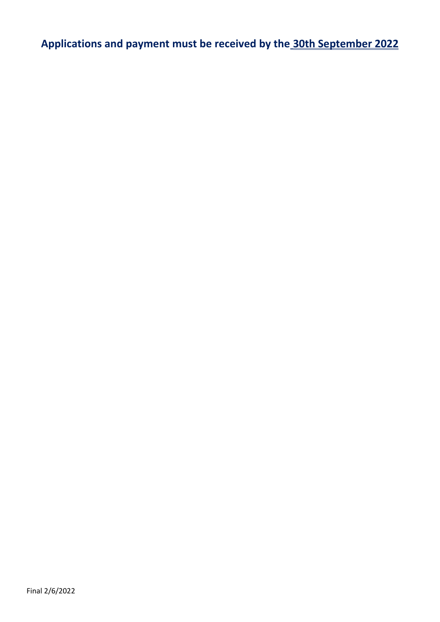**Applications and payment must be received by the 30th September 2022**